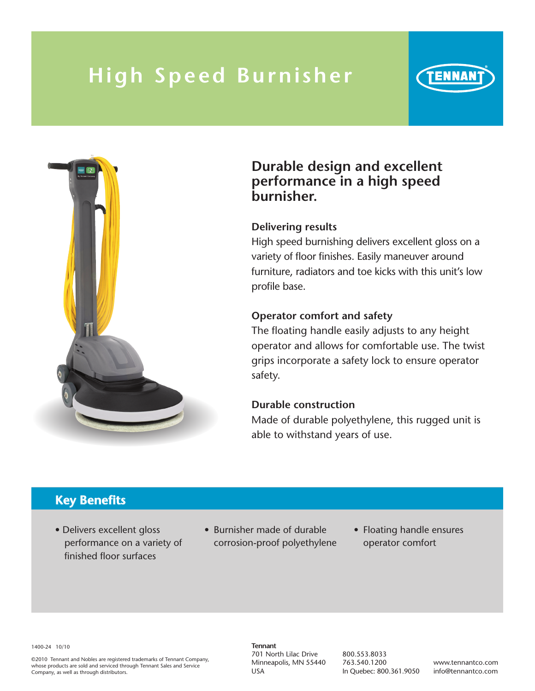## **High Speed Burni sher**



### **Durable design and excellent performance in a high speed burnisher.**

#### **Delivering results**

High speed burnishing delivers excellent gloss on a variety of floor finishes. Easily maneuver around furniture, radiators and toe kicks with this unit's low profile base.

ENNAN

#### **Operator comfort and safety**

The floating handle easily adjusts to any height operator and allows for comfortable use. The twist grips incorporate a safety lock to ensure operator safety.

#### **Durable construction**

Made of durable polyethylene, this rugged unit is able to withstand years of use.

## **Key Benefits**

- Delivers excellent gloss performance on a variety of finished floor surfaces
- Burnisher made of durable corrosion-proof polyethylene
- Floating handle ensures operator comfort

1400-24 10/10

©2010 Tennant and Nobles are registered trademarks of Tennant Company, whose products are sold and serviced through Tennant Sales and Service Company, as well as through distributors.

**Tennant** 701 North Lilac Drive Minneapolis, MN 55440 USA

800.553.8033 763.540.1200 In Quebec: 800.361.9050

www.tennantco.com info@tennantco.com